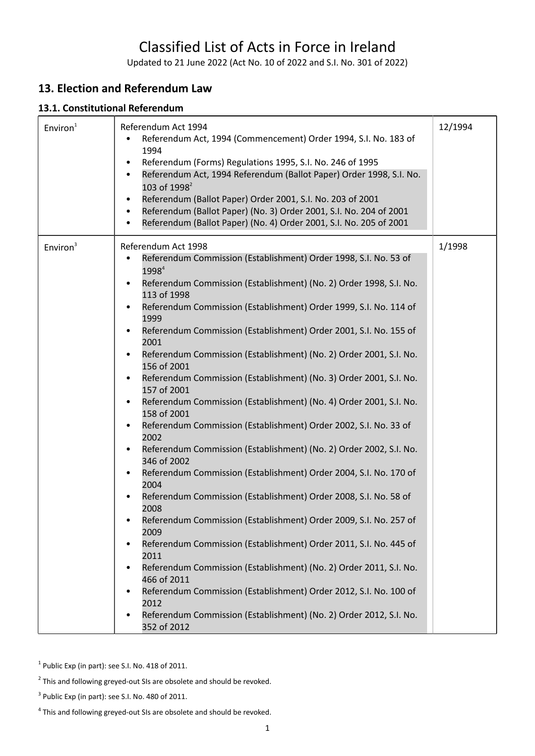# Classified List of Acts in Force in Ireland

Updated to 21 June 2022 (Act No. 10 of 2022 and S.I. No. 301 of 2022)

# **13. Election and Referendum Law**

#### **13.1. Constitutional Referendum**

| Environ <sup>1</sup> | Referendum Act 1994<br>Referendum Act, 1994 (Commencement) Order 1994, S.I. No. 183 of<br>1994<br>Referendum (Forms) Regulations 1995, S.I. No. 246 of 1995<br>Referendum Act, 1994 Referendum (Ballot Paper) Order 1998, S.I. No.<br>103 of 1998 <sup>2</sup><br>Referendum (Ballot Paper) Order 2001, S.I. No. 203 of 2001<br>Referendum (Ballot Paper) (No. 3) Order 2001, S.I. No. 204 of 2001<br>Referendum (Ballot Paper) (No. 4) Order 2001, S.I. No. 205 of 2001                                                                                                                                                                                                                                                                                                                                                                                                                                                                                                                                                                                                                                                                                                                                                                                                                                                                                                                        | 12/1994 |
|----------------------|-------------------------------------------------------------------------------------------------------------------------------------------------------------------------------------------------------------------------------------------------------------------------------------------------------------------------------------------------------------------------------------------------------------------------------------------------------------------------------------------------------------------------------------------------------------------------------------------------------------------------------------------------------------------------------------------------------------------------------------------------------------------------------------------------------------------------------------------------------------------------------------------------------------------------------------------------------------------------------------------------------------------------------------------------------------------------------------------------------------------------------------------------------------------------------------------------------------------------------------------------------------------------------------------------------------------------------------------------------------------------------------------------|---------|
| Environ <sup>3</sup> | Referendum Act 1998<br>Referendum Commission (Establishment) Order 1998, S.I. No. 53 of<br>1998 <sup>4</sup><br>Referendum Commission (Establishment) (No. 2) Order 1998, S.I. No.<br>$\bullet$<br>113 of 1998<br>Referendum Commission (Establishment) Order 1999, S.I. No. 114 of<br>1999<br>Referendum Commission (Establishment) Order 2001, S.I. No. 155 of<br>2001<br>Referendum Commission (Establishment) (No. 2) Order 2001, S.I. No.<br>156 of 2001<br>Referendum Commission (Establishment) (No. 3) Order 2001, S.I. No.<br>157 of 2001<br>Referendum Commission (Establishment) (No. 4) Order 2001, S.I. No.<br>$\bullet$<br>158 of 2001<br>Referendum Commission (Establishment) Order 2002, S.I. No. 33 of<br>2002<br>Referendum Commission (Establishment) (No. 2) Order 2002, S.I. No.<br>346 of 2002<br>Referendum Commission (Establishment) Order 2004, S.I. No. 170 of<br>2004<br>Referendum Commission (Establishment) Order 2008, S.I. No. 58 of<br>2008<br>Referendum Commission (Establishment) Order 2009, S.I. No. 257 of<br>2009<br>Referendum Commission (Establishment) Order 2011, S.I. No. 445 of<br>2011<br>Referendum Commission (Establishment) (No. 2) Order 2011, S.I. No.<br>466 of 2011<br>Referendum Commission (Establishment) Order 2012, S.I. No. 100 of<br>2012<br>Referendum Commission (Establishment) (No. 2) Order 2012, S.I. No.<br>352 of 2012 | 1/1998  |

 $1$  Public Exp (in part): see S.I. No. 418 of 2011.

 $2$  This and following greyed-out SIs are obsolete and should be revoked.

 $3$  Public Exp (in part): see S.I. No. 480 of 2011.

<sup>&</sup>lt;sup>4</sup> This and following greyed-out SIs are obsolete and should be revoked.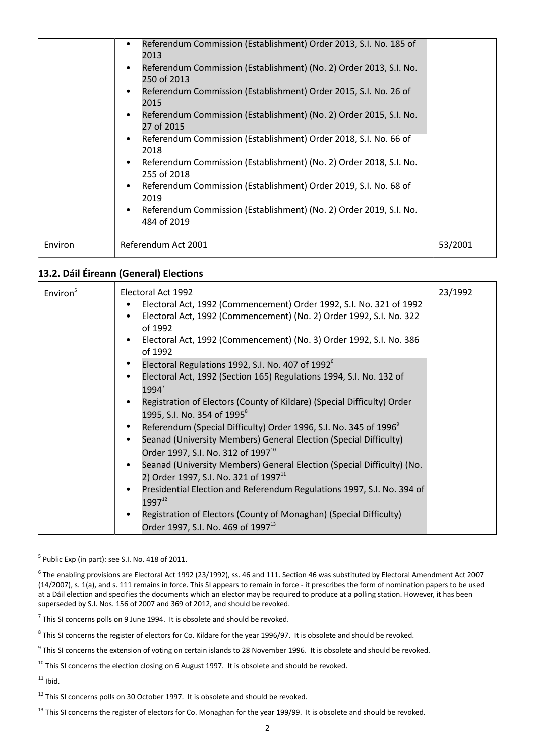|         | Referendum Commission (Establishment) Order 2013, S.I. No. 185 of<br>2013<br>Referendum Commission (Establishment) (No. 2) Order 2013, S.I. No.<br>$\bullet$<br>250 of 2013<br>Referendum Commission (Establishment) Order 2015, S.I. No. 26 of<br>2015<br>Referendum Commission (Establishment) (No. 2) Order 2015, S.I. No.<br>27 of 2015<br>Referendum Commission (Establishment) Order 2018, S.I. No. 66 of<br>2018<br>Referendum Commission (Establishment) (No. 2) Order 2018, S.I. No.<br>255 of 2018<br>Referendum Commission (Establishment) Order 2019, S.I. No. 68 of<br>$\bullet$<br>2019<br>Referendum Commission (Establishment) (No. 2) Order 2019, S.I. No.<br>$\bullet$<br>484 of 2019 |         |
|---------|---------------------------------------------------------------------------------------------------------------------------------------------------------------------------------------------------------------------------------------------------------------------------------------------------------------------------------------------------------------------------------------------------------------------------------------------------------------------------------------------------------------------------------------------------------------------------------------------------------------------------------------------------------------------------------------------------------|---------|
| Environ | Referendum Act 2001                                                                                                                                                                                                                                                                                                                                                                                                                                                                                                                                                                                                                                                                                     | 53/2001 |

# **13.2. Dáil Éireann (General) Elections**

| Environ <sup>5</sup> | Electoral Act 1992<br>Electoral Act, 1992 (Commencement) Order 1992, S.I. No. 321 of 1992<br>Electoral Act, 1992 (Commencement) (No. 2) Order 1992, S.I. No. 322<br>of 1992<br>Electoral Act, 1992 (Commencement) (No. 3) Order 1992, S.I. No. 386<br>of 1992 | 23/1992 |
|----------------------|---------------------------------------------------------------------------------------------------------------------------------------------------------------------------------------------------------------------------------------------------------------|---------|
|                      | Electoral Regulations 1992, S.I. No. 407 of 1992 <sup>6</sup><br>Electoral Act, 1992 (Section 165) Regulations 1994, S.I. No. 132 of<br>$1994^7$                                                                                                              |         |
|                      | Registration of Electors (County of Kildare) (Special Difficulty) Order<br>1995, S.I. No. 354 of 1995 <sup>8</sup><br>Referendum (Special Difficulty) Order 1996, S.I. No. 345 of 1996 <sup>9</sup>                                                           |         |
|                      | Seanad (University Members) General Election (Special Difficulty)<br>Order 1997, S.I. No. 312 of 1997 <sup>10</sup>                                                                                                                                           |         |
|                      | Seanad (University Members) General Election (Special Difficulty) (No.<br>2) Order 1997, S.I. No. 321 of 1997 <sup>11</sup><br>Presidential Election and Referendum Regulations 1997, S.I. No. 394 of<br>$\bullet$                                            |         |
|                      | $1997^{12}$<br>Registration of Electors (County of Monaghan) (Special Difficulty)                                                                                                                                                                             |         |
|                      | Order 1997, S.I. No. 469 of 1997 <sup>13</sup>                                                                                                                                                                                                                |         |

 $<sup>5</sup>$  Public Exp (in part): see S.I. No. 418 of 2011.</sup>

 $^6$  The enabling provisions are Electoral Act 1992 (23/1992), ss. 46 and 111. Section 46 was substituted by Electoral Amendment Act 2007 (14/2007), s. 1(a), and s. 111 remains in force. This SI appears to remain in force - it prescribes the form of nomination papers to be used at a Dáil election and specifies the documents which an elector may be required to produce at a polling station. However, it has been superseded by S.I. Nos. 156 of 2007 and 369 of 2012, and should be revoked.

 $^7$  This SI concerns polls on 9 June 1994. It is obsolete and should be revoked.

 $^8$  This SI concerns the register of electors for Co. Kildare for the year 1996/97. It is obsolete and should be revoked.

<sup>9</sup> This SI concerns the extension of voting on certain islands to 28 November 1996. It is obsolete and should be revoked.

 $10$  This SI concerns the election closing on 6 August 1997. It is obsolete and should be revoked.

 $11$  Ibid.

 $12$  This SI concerns polls on 30 October 1997. It is obsolete and should be revoked.

<sup>13</sup> This SI concerns the register of electors for Co. Monaghan for the year 199/99. It is obsolete and should be revoked.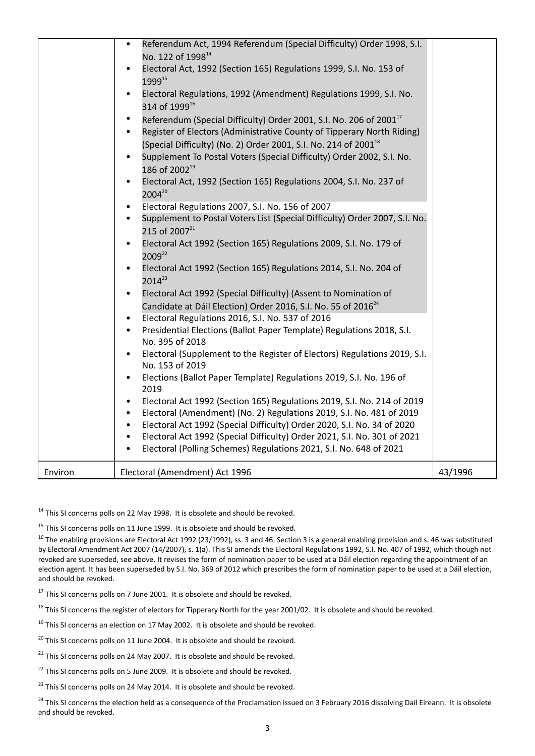|         | Referendum Act, 1994 Referendum (Special Difficulty) Order 1998, S.I.<br>$\bullet$<br>No. 122 of 1998 <sup>14</sup><br>Electoral Act, 1992 (Section 165) Regulations 1999, S.I. No. 153 of<br>$\bullet$<br>1999 <sup>15</sup><br>Electoral Regulations, 1992 (Amendment) Regulations 1999, S.I. No.<br>$\bullet$<br>314 of 1999 <sup>16</sup><br>Referendum (Special Difficulty) Order 2001, S.I. No. 206 of 2001 <sup>17</sup><br>$\bullet$<br>Register of Electors (Administrative County of Tipperary North Riding)<br>$\bullet$<br>(Special Difficulty) (No. 2) Order 2001, S.I. No. 214 of 2001 <sup>18</sup><br>Supplement To Postal Voters (Special Difficulty) Order 2002, S.I. No.<br>$\bullet$<br>186 of 2002 <sup>19</sup><br>Electoral Act, 1992 (Section 165) Regulations 2004, S.I. No. 237 of<br>$\bullet$<br>2004 <sup>20</sup><br>Electoral Regulations 2007, S.I. No. 156 of 2007<br>$\bullet$<br>Supplement to Postal Voters List (Special Difficulty) Order 2007, S.I. No.<br>$\bullet$<br>215 of 2007 <sup>21</sup><br>Electoral Act 1992 (Section 165) Regulations 2009, S.I. No. 179 of<br>$\bullet$<br>2009 <sup>22</sup><br>Electoral Act 1992 (Section 165) Regulations 2014, S.I. No. 204 of<br>$\bullet$<br>$2014^{23}$<br>Electoral Act 1992 (Special Difficulty) (Assent to Nomination of<br>$\bullet$<br>Candidate at Dáil Election) Order 2016, S.I. No. 55 of 2016 <sup>24</sup><br>Electoral Regulations 2016, S.I. No. 537 of 2016<br>$\bullet$<br>Presidential Elections (Ballot Paper Template) Regulations 2018, S.I.<br>No. 395 of 2018<br>Electoral (Supplement to the Register of Electors) Regulations 2019, S.I.<br>$\bullet$<br>No. 153 of 2019<br>Elections (Ballot Paper Template) Regulations 2019, S.I. No. 196 of<br>$\bullet$<br>2019<br>Electoral Act 1992 (Section 165) Regulations 2019, S.I. No. 214 of 2019<br>$\bullet$<br>Electoral (Amendment) (No. 2) Regulations 2019, S.I. No. 481 of 2019<br>$\bullet$<br>Electoral Act 1992 (Special Difficulty) Order 2020, S.I. No. 34 of 2020<br>$\bullet$<br>Electoral Act 1992 (Special Difficulty) Order 2021, S.I. No. 301 of 2021<br>$\bullet$<br>Electoral (Polling Schemes) Regulations 2021, S.I. No. 648 of 2021 |         |
|---------|-----------------------------------------------------------------------------------------------------------------------------------------------------------------------------------------------------------------------------------------------------------------------------------------------------------------------------------------------------------------------------------------------------------------------------------------------------------------------------------------------------------------------------------------------------------------------------------------------------------------------------------------------------------------------------------------------------------------------------------------------------------------------------------------------------------------------------------------------------------------------------------------------------------------------------------------------------------------------------------------------------------------------------------------------------------------------------------------------------------------------------------------------------------------------------------------------------------------------------------------------------------------------------------------------------------------------------------------------------------------------------------------------------------------------------------------------------------------------------------------------------------------------------------------------------------------------------------------------------------------------------------------------------------------------------------------------------------------------------------------------------------------------------------------------------------------------------------------------------------------------------------------------------------------------------------------------------------------------------------------------------------------------------------------------------------------------------------------------------------------------------------------------------------------------------------------------------------------------------|---------|
| Environ | Electoral (Amendment) Act 1996                                                                                                                                                                                                                                                                                                                                                                                                                                                                                                                                                                                                                                                                                                                                                                                                                                                                                                                                                                                                                                                                                                                                                                                                                                                                                                                                                                                                                                                                                                                                                                                                                                                                                                                                                                                                                                                                                                                                                                                                                                                                                                                                                                                              | 43/1996 |

<sup>14</sup> This SI concerns polls on 22 May 1998. It is obsolete and should be revoked.

 $15$  This SI concerns polls on 11 June 1999. It is obsolete and should be revoked.

<sup>16</sup> The enabling provisions are Electoral Act 1992 (23/1992), ss. 3 and 46. Section 3 is a general enabling provision and s. 46 was substituted by Electoral Amendment Act 2007 (14/2007), s. 1(a). This SI amends the Electoral Regulations 1992, S.I. No. 407 of 1992, which though not revoked are superseded, see above. It revises the form of nomination paper to be used at a Dáil election regarding the appointment of an election agent. It has been superseded by S.I. No. 369 of 2012 which prescribes the form of nomination paper to be used at a Dáil election, and should be revoked.

<sup>17</sup> This SI concerns polls on 7 June 2001. It is obsolete and should be revoked.

<sup>18</sup> This SI concerns the register of electors for Tipperary North for the year 2001/02. It is obsolete and should be revoked.

 $19$  This SI concerns an election on 17 May 2002. It is obsolete and should be revoked.

 $20$  This SI concerns polls on 11 June 2004. It is obsolete and should be revoked.

 $21$  This SI concerns polls on 24 May 2007. It is obsolete and should be revoked.

 $22$  This SI concerns polls on 5 June 2009. It is obsolete and should be revoked.

<sup>23</sup> This SI concerns polls on 24 May 2014. It is obsolete and should be revoked.

<sup>24</sup> This SI concerns the election held as a consequence of the Proclamation issued on 3 February 2016 dissolving Dail Eireann. It is obsolete and should be revoked.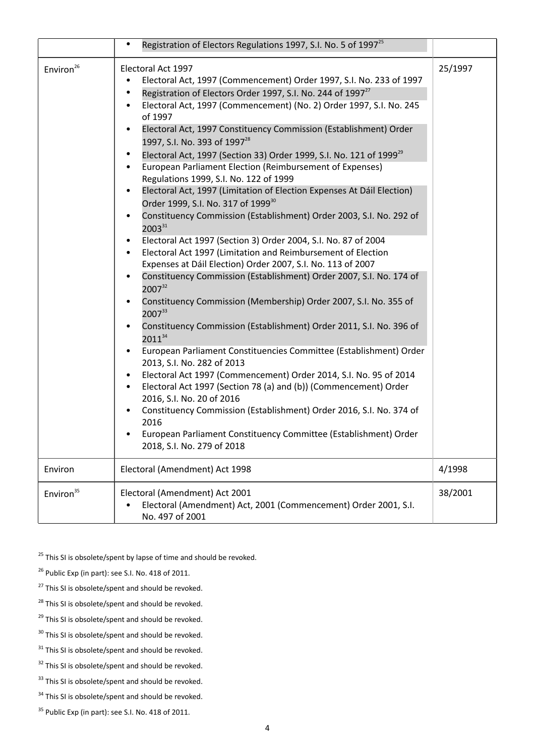|                       | Registration of Electors Regulations 1997, S.I. No. 5 of 1997 <sup>25</sup><br>$\bullet$                                                                                                                                                                                                                                                                                                                                                                                                                                                                                                                                                                                                                                                                                                                                                                                                                                                                                                                                                                                                                                                                                                                                                                                                                                                                                                                                                                                                                                                                                                                                                                                                                                                                                                                                                                                                                       |         |
|-----------------------|----------------------------------------------------------------------------------------------------------------------------------------------------------------------------------------------------------------------------------------------------------------------------------------------------------------------------------------------------------------------------------------------------------------------------------------------------------------------------------------------------------------------------------------------------------------------------------------------------------------------------------------------------------------------------------------------------------------------------------------------------------------------------------------------------------------------------------------------------------------------------------------------------------------------------------------------------------------------------------------------------------------------------------------------------------------------------------------------------------------------------------------------------------------------------------------------------------------------------------------------------------------------------------------------------------------------------------------------------------------------------------------------------------------------------------------------------------------------------------------------------------------------------------------------------------------------------------------------------------------------------------------------------------------------------------------------------------------------------------------------------------------------------------------------------------------------------------------------------------------------------------------------------------------|---------|
| Environ <sup>26</sup> | Electoral Act 1997<br>Electoral Act, 1997 (Commencement) Order 1997, S.I. No. 233 of 1997<br>$\bullet$<br>Registration of Electors Order 1997, S.I. No. 244 of 1997 <sup>27</sup><br>$\bullet$<br>Electoral Act, 1997 (Commencement) (No. 2) Order 1997, S.I. No. 245<br>$\bullet$<br>of 1997<br>Electoral Act, 1997 Constituency Commission (Establishment) Order<br>$\bullet$<br>1997, S.I. No. 393 of 1997 <sup>28</sup><br>Electoral Act, 1997 (Section 33) Order 1999, S.I. No. 121 of 1999 <sup>29</sup><br>$\bullet$<br>European Parliament Election (Reimbursement of Expenses)<br>$\bullet$<br>Regulations 1999, S.I. No. 122 of 1999<br>Electoral Act, 1997 (Limitation of Election Expenses At Dáil Election)<br>$\bullet$<br>Order 1999, S.I. No. 317 of 1999 <sup>30</sup><br>Constituency Commission (Establishment) Order 2003, S.I. No. 292 of<br>$\bullet$<br>$2003^{31}$<br>Electoral Act 1997 (Section 3) Order 2004, S.I. No. 87 of 2004<br>$\bullet$<br>Electoral Act 1997 (Limitation and Reimbursement of Election<br>$\bullet$<br>Expenses at Dáil Election) Order 2007, S.I. No. 113 of 2007<br>Constituency Commission (Establishment) Order 2007, S.I. No. 174 of<br>$\bullet$<br>200732<br>Constituency Commission (Membership) Order 2007, S.I. No. 355 of<br>$\bullet$<br>200733<br>Constituency Commission (Establishment) Order 2011, S.I. No. 396 of<br>$\bullet$<br>201134<br>European Parliament Constituencies Committee (Establishment) Order<br>$\bullet$<br>2013, S.I. No. 282 of 2013<br>Electoral Act 1997 (Commencement) Order 2014, S.I. No. 95 of 2014<br>$\bullet$<br>Electoral Act 1997 (Section 78 (a) and (b)) (Commencement) Order<br>2016, S.I. No. 20 of 2016<br>Constituency Commission (Establishment) Order 2016, S.I. No. 374 of<br>$\bullet$<br>2016<br>European Parliament Constituency Committee (Establishment) Order<br>2018, S.I. No. 279 of 2018 | 25/1997 |
| Environ               | Electoral (Amendment) Act 1998                                                                                                                                                                                                                                                                                                                                                                                                                                                                                                                                                                                                                                                                                                                                                                                                                                                                                                                                                                                                                                                                                                                                                                                                                                                                                                                                                                                                                                                                                                                                                                                                                                                                                                                                                                                                                                                                                 | 4/1998  |
| Environ <sup>35</sup> | Electoral (Amendment) Act 2001<br>Electoral (Amendment) Act, 2001 (Commencement) Order 2001, S.I.<br>No. 497 of 2001                                                                                                                                                                                                                                                                                                                                                                                                                                                                                                                                                                                                                                                                                                                                                                                                                                                                                                                                                                                                                                                                                                                                                                                                                                                                                                                                                                                                                                                                                                                                                                                                                                                                                                                                                                                           | 38/2001 |

 $^{25}$  This SI is obsolete/spent by lapse of time and should be revoked.

<sup>26</sup> Public Exp (in part): see S.I. No. 418 of 2011.

 $27$  This SI is obsolete/spent and should be revoked.

<sup>28</sup> This SI is obsolete/spent and should be revoked.

<sup>29</sup> This SI is obsolete/spent and should be revoked.

<sup>30</sup> This SI is obsolete/spent and should be revoked.

 $31$  This SI is obsolete/spent and should be revoked.

<sup>32</sup> This SI is obsolete/spent and should be revoked.

<sup>33</sup> This SI is obsolete/spent and should be revoked.

 $34$  This SI is obsolete/spent and should be revoked.

<sup>35</sup> Public Exp (in part): see S.I. No. 418 of 2011.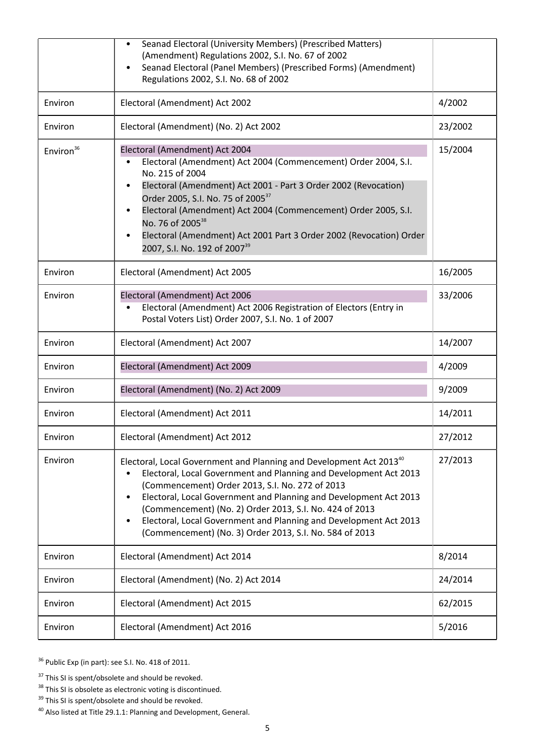|                       | Seanad Electoral (University Members) (Prescribed Matters)<br>(Amendment) Regulations 2002, S.I. No. 67 of 2002<br>Seanad Electoral (Panel Members) (Prescribed Forms) (Amendment)<br>$\bullet$<br>Regulations 2002, S.I. No. 68 of 2002                                                                                                                                                                                                                                              |         |
|-----------------------|---------------------------------------------------------------------------------------------------------------------------------------------------------------------------------------------------------------------------------------------------------------------------------------------------------------------------------------------------------------------------------------------------------------------------------------------------------------------------------------|---------|
| Environ               | Electoral (Amendment) Act 2002                                                                                                                                                                                                                                                                                                                                                                                                                                                        | 4/2002  |
| Environ               | Electoral (Amendment) (No. 2) Act 2002                                                                                                                                                                                                                                                                                                                                                                                                                                                | 23/2002 |
| Environ <sup>36</sup> | Electoral (Amendment) Act 2004<br>Electoral (Amendment) Act 2004 (Commencement) Order 2004, S.I.<br>No. 215 of 2004<br>Electoral (Amendment) Act 2001 - Part 3 Order 2002 (Revocation)<br>Order 2005, S.I. No. 75 of 2005 <sup>37</sup><br>Electoral (Amendment) Act 2004 (Commencement) Order 2005, S.I.<br>No. 76 of 2005 <sup>38</sup><br>Electoral (Amendment) Act 2001 Part 3 Order 2002 (Revocation) Order<br>2007, S.I. No. 192 of 2007 <sup>39</sup>                          | 15/2004 |
| Environ               | Electoral (Amendment) Act 2005                                                                                                                                                                                                                                                                                                                                                                                                                                                        | 16/2005 |
| Environ               | Electoral (Amendment) Act 2006<br>Electoral (Amendment) Act 2006 Registration of Electors (Entry in<br>Postal Voters List) Order 2007, S.I. No. 1 of 2007                                                                                                                                                                                                                                                                                                                             | 33/2006 |
| Environ               | Electoral (Amendment) Act 2007                                                                                                                                                                                                                                                                                                                                                                                                                                                        | 14/2007 |
| Environ               | Electoral (Amendment) Act 2009                                                                                                                                                                                                                                                                                                                                                                                                                                                        | 4/2009  |
| Environ               | Electoral (Amendment) (No. 2) Act 2009                                                                                                                                                                                                                                                                                                                                                                                                                                                | 9/2009  |
| Environ               | Electoral (Amendment) Act 2011                                                                                                                                                                                                                                                                                                                                                                                                                                                        | 14/2011 |
| Environ               | Electoral (Amendment) Act 2012                                                                                                                                                                                                                                                                                                                                                                                                                                                        | 27/2012 |
| Environ               | Electoral, Local Government and Planning and Development Act 201340<br>Electoral, Local Government and Planning and Development Act 2013<br>(Commencement) Order 2013, S.I. No. 272 of 2013<br>Electoral, Local Government and Planning and Development Act 2013<br>$\bullet$<br>(Commencement) (No. 2) Order 2013, S.I. No. 424 of 2013<br>Electoral, Local Government and Planning and Development Act 2013<br>$\bullet$<br>(Commencement) (No. 3) Order 2013, S.I. No. 584 of 2013 | 27/2013 |
| Environ               | Electoral (Amendment) Act 2014                                                                                                                                                                                                                                                                                                                                                                                                                                                        | 8/2014  |
| Environ               | Electoral (Amendment) (No. 2) Act 2014                                                                                                                                                                                                                                                                                                                                                                                                                                                | 24/2014 |
| Environ               | Electoral (Amendment) Act 2015                                                                                                                                                                                                                                                                                                                                                                                                                                                        | 62/2015 |
| Environ               | Electoral (Amendment) Act 2016                                                                                                                                                                                                                                                                                                                                                                                                                                                        | 5/2016  |

<sup>36</sup> Public Exp (in part): see S.I. No. 418 of 2011.

<sup>39</sup> This SI is spent/obsolete and should be revoked.

 $37$  This SI is spent/obsolete and should be revoked.

<sup>&</sup>lt;sup>38</sup> This SI is obsolete as electronic voting is discontinued.

<sup>40</sup> Also listed at Title 29.1.1: Planning and Development, General.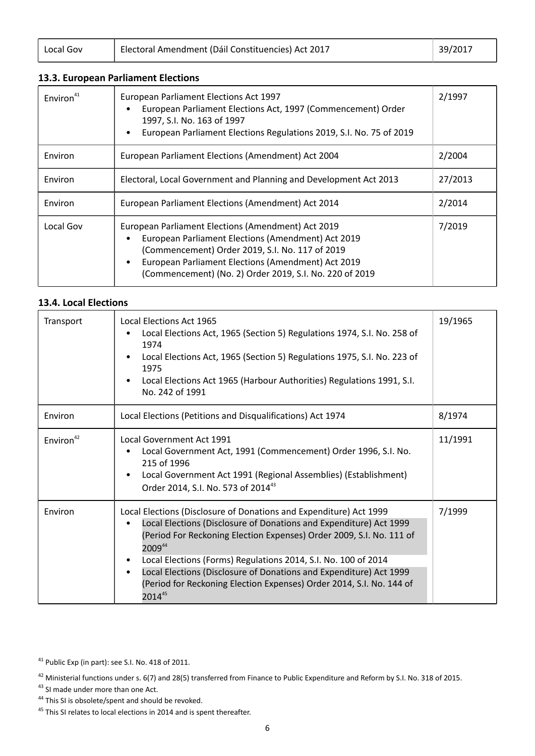Local Gov | [Electoral Amendment \(Dáil Constituencies\) Act 2017](http://www.irishstatutebook.ie/2017/en/act/pub/0039/index.html) | [39/2017](http://www.irishstatutebook.ie/2017/en/act/pub/0039/index.html)

## **13.3. European Parliament Elections**

| Environ <sup>41</sup> | European Parliament Elections Act 1997<br>European Parliament Elections Act, 1997 (Commencement) Order<br>1997, S.I. No. 163 of 1997<br>European Parliament Elections Regulations 2019, S.I. No. 75 of 2019                                                                  | 2/1997  |
|-----------------------|------------------------------------------------------------------------------------------------------------------------------------------------------------------------------------------------------------------------------------------------------------------------------|---------|
| Environ               | European Parliament Elections (Amendment) Act 2004                                                                                                                                                                                                                           | 2/2004  |
| Environ               | Electoral, Local Government and Planning and Development Act 2013                                                                                                                                                                                                            | 27/2013 |
| Environ               | European Parliament Elections (Amendment) Act 2014                                                                                                                                                                                                                           | 2/2014  |
| Local Gov             | European Parliament Elections (Amendment) Act 2019<br>European Parliament Elections (Amendment) Act 2019<br>(Commencement) Order 2019, S.I. No. 117 of 2019<br>European Parliament Elections (Amendment) Act 2019<br>(Commencement) (No. 2) Order 2019, S.I. No. 220 of 2019 | 7/2019  |

#### **13.4. Local Elections**

| Transport             | <b>Local Elections Act 1965</b><br>Local Elections Act, 1965 (Section 5) Regulations 1974, S.I. No. 258 of<br>1974<br>Local Elections Act, 1965 (Section 5) Regulations 1975, S.I. No. 223 of<br>1975<br>Local Elections Act 1965 (Harbour Authorities) Regulations 1991, S.I.<br>No. 242 of 1991                                                                                                                                                    | 19/1965 |
|-----------------------|------------------------------------------------------------------------------------------------------------------------------------------------------------------------------------------------------------------------------------------------------------------------------------------------------------------------------------------------------------------------------------------------------------------------------------------------------|---------|
| Environ               | Local Elections (Petitions and Disqualifications) Act 1974                                                                                                                                                                                                                                                                                                                                                                                           | 8/1974  |
| Environ <sup>42</sup> | Local Government Act 1991<br>Local Government Act, 1991 (Commencement) Order 1996, S.I. No.<br>215 of 1996<br>Local Government Act 1991 (Regional Assemblies) (Establishment)<br>Order 2014, S.I. No. 573 of 201443                                                                                                                                                                                                                                  | 11/1991 |
| Environ               | Local Elections (Disclosure of Donations and Expenditure) Act 1999<br>Local Elections (Disclosure of Donations and Expenditure) Act 1999<br>(Period For Reckoning Election Expenses) Order 2009, S.I. No. 111 of<br>200944<br>Local Elections (Forms) Regulations 2014, S.I. No. 100 of 2014<br>Local Elections (Disclosure of Donations and Expenditure) Act 1999<br>(Period for Reckoning Election Expenses) Order 2014, S.I. No. 144 of<br>201445 | 7/1999  |

<sup>41</sup> Public Exp (in part): see S.I. No. 418 of 2011.

44 This SI is obsolete/spent and should be revoked.

<sup>42</sup> Ministerial functions under s. 6(7) and 28(5) transferred from Finance to Public Expenditure and Reform by S.I. No. 318 of 2015. 43 SI made under more than one Act.

<sup>&</sup>lt;sup>45</sup> This SI relates to local elections in 2014 and is spent thereafter.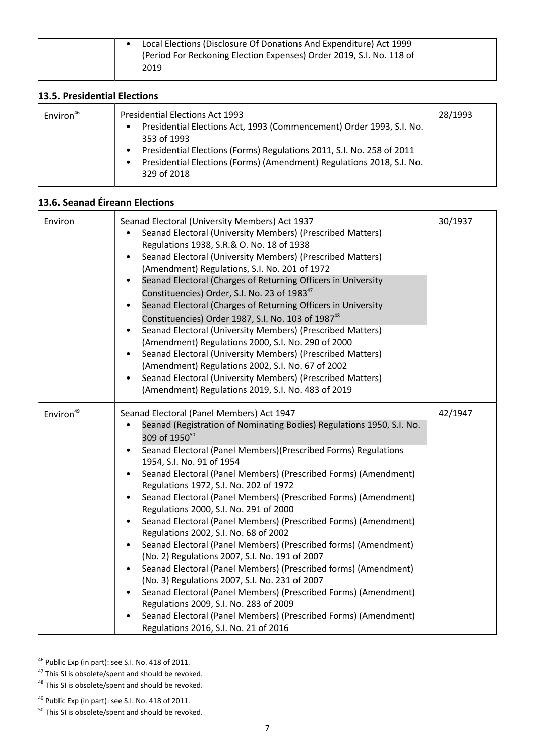| Local Elections (Disclosure Of Donations And Expenditure) Act 1999<br>(Period For Reckoning Election Expenses) Order 2019, S.I. No. 118 of<br>2019 |
|----------------------------------------------------------------------------------------------------------------------------------------------------|
|----------------------------------------------------------------------------------------------------------------------------------------------------|

### **13.5. Presidential Elections**

| <b>Presidential Elections Act 1993</b><br>Environ <sup>46</sup><br>Presidential Elections Act, 1993 (Commencement) Order 1993, S.I. No.<br>$\bullet$<br>353 of 1993<br>Presidential Elections (Forms) Regulations 2011, S.I. No. 258 of 2011<br>Presidential Elections (Forms) (Amendment) Regulations 2018, S.I. No.<br>$\bullet$<br>329 of 2018 | 28/1993 |
|---------------------------------------------------------------------------------------------------------------------------------------------------------------------------------------------------------------------------------------------------------------------------------------------------------------------------------------------------|---------|
|---------------------------------------------------------------------------------------------------------------------------------------------------------------------------------------------------------------------------------------------------------------------------------------------------------------------------------------------------|---------|

# **13.6. Seanad Éireann Elections**

| Environ               | Seanad Electoral (University Members) Act 1937<br>Seanad Electoral (University Members) (Prescribed Matters)<br>Regulations 1938, S.R.& O. No. 18 of 1938<br>Seanad Electoral (University Members) (Prescribed Matters)<br>(Amendment) Regulations, S.I. No. 201 of 1972<br>Seanad Electoral (Charges of Returning Officers in University<br>Constituencies) Order, S.I. No. 23 of 1983 <sup>47</sup><br>Seanad Electoral (Charges of Returning Officers in University<br>Constituencies) Order 1987, S.I. No. 103 of 1987 <sup>48</sup><br>Seanad Electoral (University Members) (Prescribed Matters)<br>(Amendment) Regulations 2000, S.I. No. 290 of 2000<br>Seanad Electoral (University Members) (Prescribed Matters)<br>(Amendment) Regulations 2002, S.I. No. 67 of 2002<br>Seanad Electoral (University Members) (Prescribed Matters)<br>(Amendment) Regulations 2019, S.I. No. 483 of 2019                                                                                                                                                                                            | 30/1937 |
|-----------------------|------------------------------------------------------------------------------------------------------------------------------------------------------------------------------------------------------------------------------------------------------------------------------------------------------------------------------------------------------------------------------------------------------------------------------------------------------------------------------------------------------------------------------------------------------------------------------------------------------------------------------------------------------------------------------------------------------------------------------------------------------------------------------------------------------------------------------------------------------------------------------------------------------------------------------------------------------------------------------------------------------------------------------------------------------------------------------------------------|---------|
| Environ <sup>49</sup> | Seanad Electoral (Panel Members) Act 1947<br>Seanad (Registration of Nominating Bodies) Regulations 1950, S.I. No.<br>309 of 1950 <sup>50</sup><br>Seanad Electoral (Panel Members)(Prescribed Forms) Regulations<br>$\bullet$<br>1954, S.I. No. 91 of 1954<br>Seanad Electoral (Panel Members) (Prescribed Forms) (Amendment)<br>Regulations 1972, S.I. No. 202 of 1972<br>Seanad Electoral (Panel Members) (Prescribed Forms) (Amendment)<br>Regulations 2000, S.I. No. 291 of 2000<br>Seanad Electoral (Panel Members) (Prescribed Forms) (Amendment)<br>Regulations 2002, S.I. No. 68 of 2002<br>Seanad Electoral (Panel Members) (Prescribed forms) (Amendment)<br>(No. 2) Regulations 2007, S.I. No. 191 of 2007<br>Seanad Electoral (Panel Members) (Prescribed forms) (Amendment)<br>$\bullet$<br>(No. 3) Regulations 2007, S.I. No. 231 of 2007<br>Seanad Electoral (Panel Members) (Prescribed Forms) (Amendment)<br>Regulations 2009, S.I. No. 283 of 2009<br>Seanad Electoral (Panel Members) (Prescribed Forms) (Amendment)<br>$\bullet$<br>Regulations 2016, S.I. No. 21 of 2016 | 42/1947 |

<sup>46</sup> Public Exp (in part): see S.I. No. 418 of 2011.

<sup>47</sup> This SI is obsolete/spent and should be revoked.

<sup>48</sup> This SI is obsolete/spent and should be revoked.

<sup>49</sup> Public Exp (in part): see S.I. No. 418 of 2011.

<sup>50</sup> This SI is obsolete/spent and should be revoked.